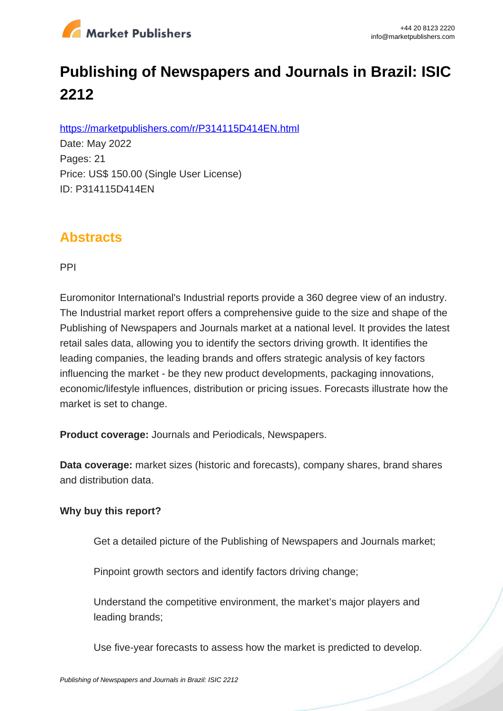

# **Publishing of Newspapers and Journals in Brazil: ISIC 2212**

https://marketpublishers.com/r/P314115D414EN.html

Date: May 2022 Pages: 21 Price: US\$ 150.00 (Single User License) ID: P314115D414EN

## **Abstracts**

PPI

Euromonitor International's Industrial reports provide a 360 degree view of an industry. The Industrial market report offers a comprehensive guide to the size and shape of the Publishing of Newspapers and Journals market at a national level. It provides the latest retail sales data, allowing you to identify the sectors driving growth. It identifies the leading companies, the leading brands and offers strategic analysis of key factors influencing the market - be they new product developments, packaging innovations, economic/lifestyle influences, distribution or pricing issues. Forecasts illustrate how the market is set to change.

**Product coverage:** Journals and Periodicals, Newspapers.

**Data coverage:** market sizes (historic and forecasts), company shares, brand shares and distribution data.

#### **Why buy this report?**

Get a detailed picture of the Publishing of Newspapers and Journals market;

Pinpoint growth sectors and identify factors driving change;

Understand the competitive environment, the market's major players and leading brands;

Use five-year forecasts to assess how the market is predicted to develop.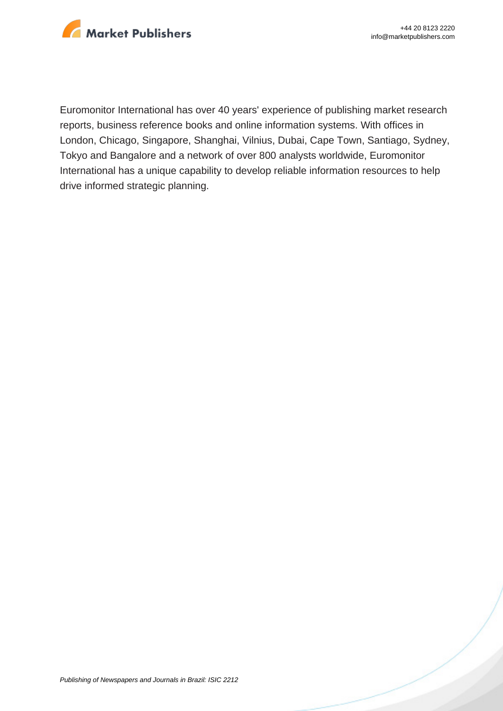

Euromonitor International has over 40 years' experience of publishing market research reports, business reference books and online information systems. With offices in London, Chicago, Singapore, Shanghai, Vilnius, Dubai, Cape Town, Santiago, Sydney, Tokyo and Bangalore and a network of over 800 analysts worldwide, Euromonitor International has a unique capability to develop reliable information resources to help drive informed strategic planning.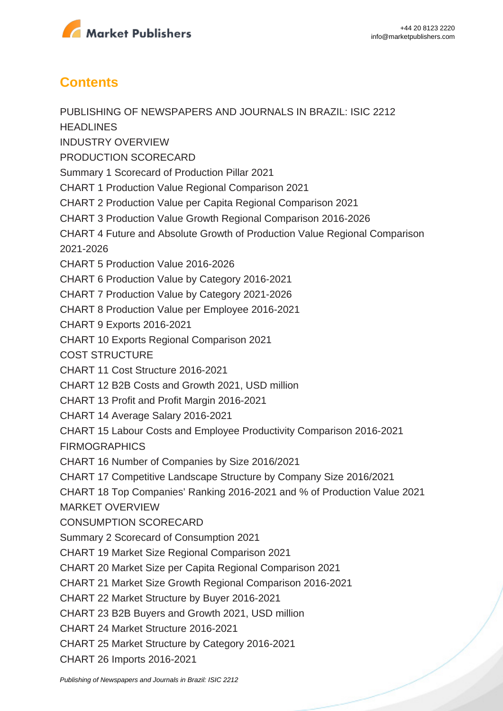

## **Contents**

PUBLISHING OF NEWSPAPERS AND JOURNALS IN BRAZIL: ISIC 2212 **HEADLINES** INDUSTRY OVERVIEW PRODUCTION SCORECARD Summary 1 Scorecard of Production Pillar 2021 CHART 1 Production Value Regional Comparison 2021 CHART 2 Production Value per Capita Regional Comparison 2021 CHART 3 Production Value Growth Regional Comparison 2016-2026 CHART 4 Future and Absolute Growth of Production Value Regional Comparison 2021-2026 CHART 5 Production Value 2016-2026 CHART 6 Production Value by Category 2016-2021 CHART 7 Production Value by Category 2021-2026 CHART 8 Production Value per Employee 2016-2021 CHART 9 Exports 2016-2021 CHART 10 Exports Regional Comparison 2021 COST STRUCTURE CHART 11 Cost Structure 2016-2021 CHART 12 B2B Costs and Growth 2021, USD million CHART 13 Profit and Profit Margin 2016-2021 CHART 14 Average Salary 2016-2021 CHART 15 Labour Costs and Employee Productivity Comparison 2016-2021 FIRMOGRAPHICS CHART 16 Number of Companies by Size 2016/2021 CHART 17 Competitive Landscape Structure by Company Size 2016/2021 CHART 18 Top Companies' Ranking 2016-2021 and % of Production Value 2021 MARKET OVERVIEW CONSUMPTION SCORECARD Summary 2 Scorecard of Consumption 2021 CHART 19 Market Size Regional Comparison 2021 CHART 20 Market Size per Capita Regional Comparison 2021 CHART 21 Market Size Growth Regional Comparison 2016-2021 CHART 22 Market Structure by Buyer 2016-2021 CHART 23 B2B Buyers and Growth 2021, USD million CHART 24 Market Structure 2016-2021 CHART 25 Market Structure by Category 2016-2021 CHART 26 Imports 2016-2021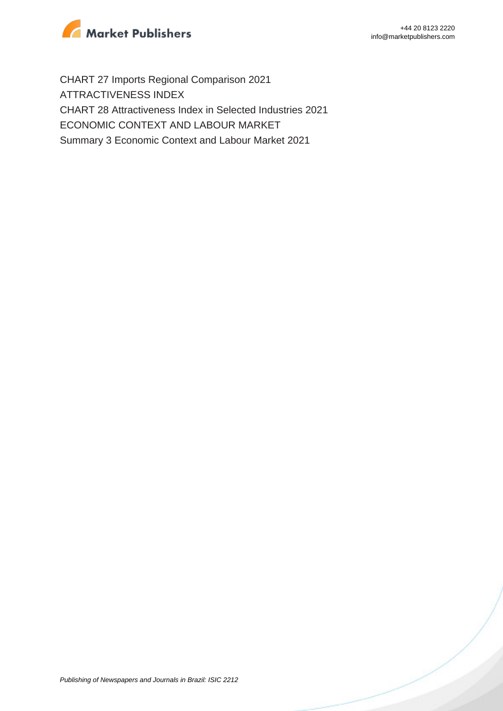

CHART 27 Imports Regional Comparison 2021 ATTRACTIVENESS INDEX CHART 28 Attractiveness Index in Selected Industries 2021 ECONOMIC CONTEXT AND LABOUR MARKET Summary 3 Economic Context and Labour Market 2021